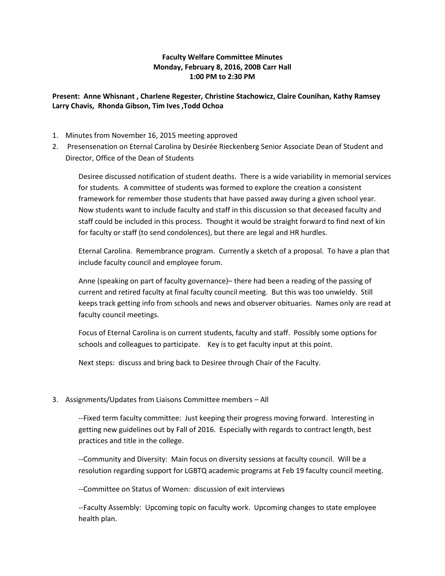## **Faculty Welfare Committee Minutes Monday, February 8, 2016, 200B Carr Hall 1:00 PM to 2:30 PM**

## **Present: Anne Whisnant , Charlene Regester, Christine Stachowicz, Claire Counihan, Kathy Ramsey Larry Chavis, Rhonda Gibson, Tim Ives ,Todd Ochoa**

- 1. Minutes from November 16, 2015 meeting approved
- 2. Presensenation on Eternal Carolina by Desirée Rieckenberg Senior Associate Dean of Student and Director, Office of the Dean of Students

Desiree discussed notification of student deaths. There is a wide variability in memorial services for students. A committee of students was formed to explore the creation a consistent framework for remember those students that have passed away during a given school year. Now students want to include faculty and staff in this discussion so that deceased faculty and staff could be included in this process. Thought it would be straight forward to find next of kin for faculty or staff (to send condolences), but there are legal and HR hurdles.

Eternal Carolina. Remembrance program. Currently a sketch of a proposal. To have a plan that include faculty council and employee forum.

Anne (speaking on part of faculty governance)– there had been a reading of the passing of current and retired faculty at final faculty council meeting. But this was too unwieldy. Still keeps track getting info from schools and news and observer obituaries. Names only are read at faculty council meetings.

Focus of Eternal Carolina is on current students, faculty and staff. Possibly some options for schools and colleagues to participate. Key is to get faculty input at this point.

Next steps: discuss and bring back to Desiree through Chair of the Faculty.

## 3. Assignments/Updates from Liaisons Committee members – All

--Fixed term faculty committee: Just keeping their progress moving forward. Interesting in getting new guidelines out by Fall of 2016. Especially with regards to contract length, best practices and title in the college.

--Community and Diversity: Main focus on diversity sessions at faculty council. Will be a resolution regarding support for LGBTQ academic programs at Feb 19 faculty council meeting.

--Committee on Status of Women: discussion of exit interviews

--Faculty Assembly: Upcoming topic on faculty work. Upcoming changes to state employee health plan.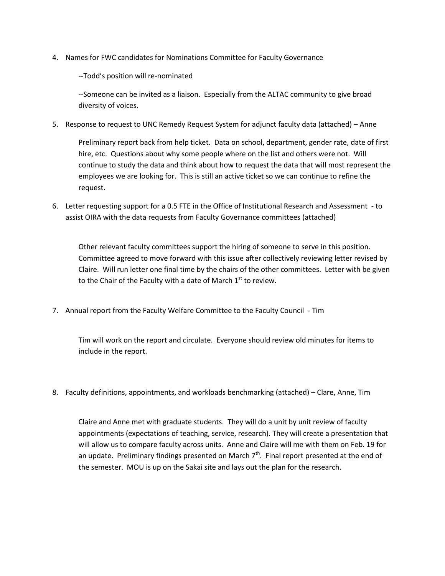4. Names for FWC candidates for Nominations Committee for Faculty Governance

--Todd's position will re-nominated

--Someone can be invited as a liaison. Especially from the ALTAC community to give broad diversity of voices.

5. Response to request to UNC Remedy Request System for adjunct faculty data (attached) – Anne

Preliminary report back from help ticket. Data on school, department, gender rate, date of first hire, etc. Questions about why some people where on the list and others were not. Will continue to study the data and think about how to request the data that will most represent the employees we are looking for. This is still an active ticket so we can continue to refine the request.

6. Letter requesting support for a 0.5 FTE in the Office of Institutional Research and Assessment - to assist OIRA with the data requests from Faculty Governance committees (attached)

Other relevant faculty committees support the hiring of someone to serve in this position. Committee agreed to move forward with this issue after collectively reviewing letter revised by Claire. Will run letter one final time by the chairs of the other committees. Letter with be given to the Chair of the Faculty with a date of March  $1<sup>st</sup>$  to review.

7. Annual report from the Faculty Welfare Committee to the Faculty Council - Tim

Tim will work on the report and circulate. Everyone should review old minutes for items to include in the report.

8. Faculty definitions, appointments, and workloads benchmarking (attached) – Clare, Anne, Tim

Claire and Anne met with graduate students. They will do a unit by unit review of faculty appointments (expectations of teaching, service, research). They will create a presentation that will allow us to compare faculty across units. Anne and Claire will me with them on Feb. 19 for an update. Preliminary findings presented on March  $7<sup>th</sup>$ . Final report presented at the end of the semester. MOU is up on the Sakai site and lays out the plan for the research.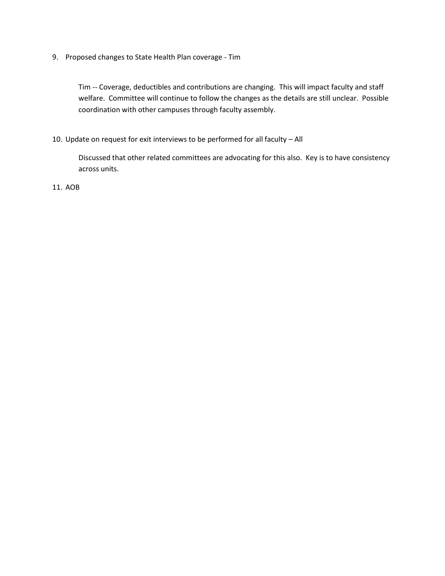9. Proposed changes to State Health Plan coverage - Tim

Tim -- Coverage, deductibles and contributions are changing. This will impact faculty and staff welfare. Committee will continue to follow the changes as the details are still unclear. Possible coordination with other campuses through faculty assembly.

10. Update on request for exit interviews to be performed for all faculty – All

Discussed that other related committees are advocating for this also. Key is to have consistency across units.

11. AOB